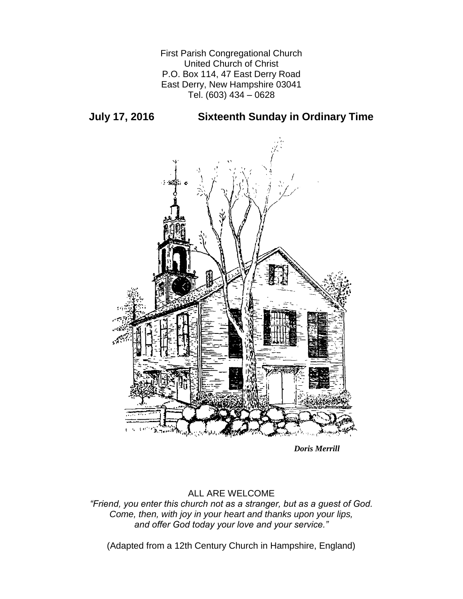First Parish Congregational Church United Church of Christ P.O. Box 114, 47 East Derry Road East Derry, New Hampshire 03041 Tel. (603) 434 – 0628

**July 17, 2016 Sixteenth Sunday in Ordinary Time**



*Doris Merrill*

# ALL ARE WELCOME

*"Friend, you enter this church not as a stranger, but as a guest of God. Come, then, with joy in your heart and thanks upon your lips, and offer God today your love and your service."*

(Adapted from a 12th Century Church in Hampshire, England)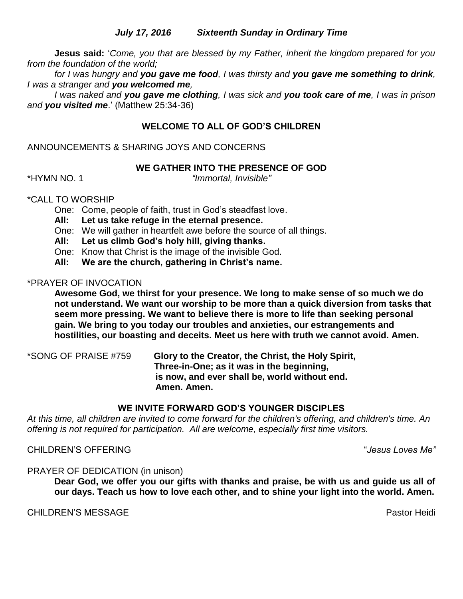## *July 17, 2016 Sixteenth Sunday in Ordinary Time*

**Jesus said:** '*Come, you that are blessed by my Father, inherit the kingdom prepared for you from the foundation of the world;* 

*for I was hungry and you gave me food, I was thirsty and you gave me something to drink, I was a stranger and you welcomed me,* 

*I was naked and you gave me clothing, I was sick and you took care of me, I was in prison and you visited me*.' (Matthew 25:34-36)

## **WELCOME TO ALL OF GOD'S CHILDREN**

### ANNOUNCEMENTS & SHARING JOYS AND CONCERNS

### **WE GATHER INTO THE PRESENCE OF GOD**

\*HYMN NO. 1 *"Immortal, Invisible"*

### \*CALL TO WORSHIP

One: Come, people of faith, trust in God's steadfast love.

- **All: Let us take refuge in the eternal presence.**
- One: We will gather in heartfelt awe before the source of all things.
- **All: Let us climb God's holy hill, giving thanks.**
- One: Know that Christ is the image of the invisible God.
- **All: We are the church, gathering in Christ's name.**

### \*PRAYER OF INVOCATION

**Awesome God, we thirst for your presence. We long to make sense of so much we do not understand. We want our worship to be more than a quick diversion from tasks that seem more pressing. We want to believe there is more to life than seeking personal gain. We bring to you today our troubles and anxieties, our estrangements and hostilities, our boasting and deceits. Meet us here with truth we cannot avoid. Amen.**

\*SONG OF PRAISE #759 **Glory to the Creator, the Christ, the Holy Spirit, Three-in-One; as it was in the beginning, is now, and ever shall be, world without end. Amen. Amen.**

#### **WE INVITE FORWARD GOD'S YOUNGER DISCIPLES**

*At this time, all children are invited to come forward for the children's offering, and children's time. An offering is not required for participation. All are welcome, especially first time visitors.*

## CHILDREN'S OFFERING "*Jesus Loves Me"*

#### PRAYER OF DEDICATION (in unison)

**Dear God, we offer you our gifts with thanks and praise, be with us and guide us all of our days. Teach us how to love each other, and to shine your light into the world. Amen.**

### **CHILDREN'S MESSAGE** Pastor Heidi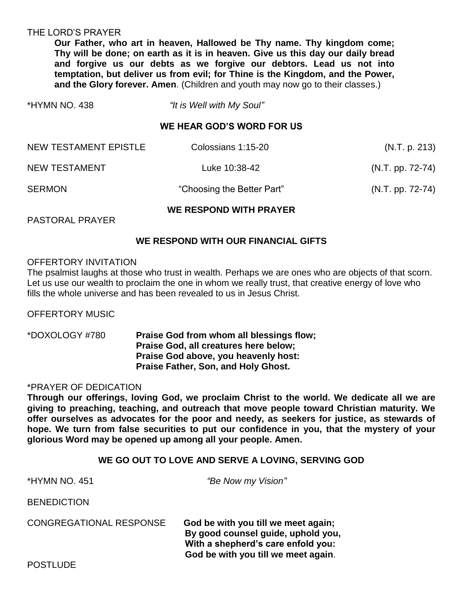#### THE LORD'S PRAYER

**Our Father, who art in heaven, Hallowed be Thy name. Thy kingdom come; Thy will be done; on earth as it is in heaven. Give us this day our daily bread and forgive us our debts as we forgive our debtors. Lead us not into temptation, but deliver us from evil; for Thine is the Kingdom, and the Power, and the Glory forever. Amen**. (Children and youth may now go to their classes.)

| *HYMN NO. 438 | "It is Well with My Soul" |
|---------------|---------------------------|
|               |                           |

#### **WE HEAR GOD'S WORD FOR US**

| WE RESPOND WITH PRAYER |                            |                    |  |
|------------------------|----------------------------|--------------------|--|
| <b>SERMON</b>          | "Choosing the Better Part" | $(N.T. pp. 72-74)$ |  |
| NEW TESTAMENT          | Luke 10:38-42              | $(N.T. pp. 72-74)$ |  |
| NEW TESTAMENT EPISTLE  | Colossians 1:15-20         | (N.T. p. 213)      |  |

PASTORAL PRAYER

### **WE RESPOND WITH OUR FINANCIAL GIFTS**

#### OFFERTORY INVITATION

The psalmist laughs at those who trust in wealth. Perhaps we are ones who are objects of that scorn. Let us use our wealth to proclaim the one in whom we really trust, that creative energy of love who fills the whole universe and has been revealed to us in Jesus Christ.

OFFERTORY MUSIC

\*DOXOLOGY #780 **Praise God from whom all blessings flow; Praise God, all creatures here below; Praise God above, you heavenly host: Praise Father, Son, and Holy Ghost.**

### \*PRAYER OF DEDICATION

**Through our offerings, loving God, we proclaim Christ to the world. We dedicate all we are giving to preaching, teaching, and outreach that move people toward Christian maturity. We offer ourselves as advocates for the poor and needy, as seekers for justice, as stewards of hope. We turn from false securities to put our confidence in you, that the mystery of your glorious Word may be opened up among all your people. Amen.**

#### **WE GO OUT TO LOVE AND SERVE A LOVING, SERVING GOD**

| *HYMN NO. 451                  | "Be Now my Vision"                                                                                                                                     |  |
|--------------------------------|--------------------------------------------------------------------------------------------------------------------------------------------------------|--|
| <b>BENEDICTION</b>             |                                                                                                                                                        |  |
| <b>CONGREGATIONAL RESPONSE</b> | God be with you till we meet again;<br>By good counsel guide, uphold you,<br>With a shepherd's care enfold you:<br>God be with you till we meet again. |  |
| <b>POSTLUDE</b>                |                                                                                                                                                        |  |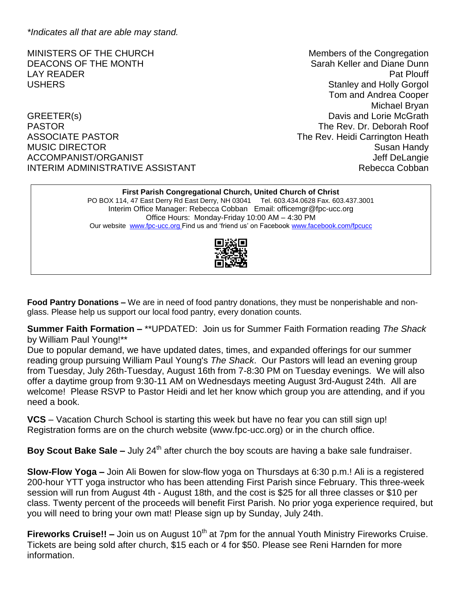*\*Indicates all that are able may stand.*

GREETER(s) CREETER(s) PASTOR The Rev. Dr. Deborah Roof ASSOCIATE PASTOR **The Rev. Heidi Carrington Heath** MUSIC DIRECTOR Susan Handy ACCOMPANIST/ORGANIST ACCOMPANIST ACCOMPANIST/ORGANIST INTERIM ADMINISTRATIVE ASSISTANT **Rebecca Cobban** 

MINISTERS OF THE CHURCH MINISTERS OF THE CHURCH DEACONS OF THE MONTH SALL CONSERVERSITY CONSERVERS AND SARAH Keller and Diane Dunn LAY READER Pat Plouff USHERS **Stanley and Holly Gorgol** Tom and Andrea Cooper Michael Bryan

#### **First Parish Congregational Church, United Church of Christ**

PO BOX 114, 47 East Derry Rd East Derry, NH 03041 Tel. 603.434.0628 Fax. 603.437.3001 Interim Office Manager: Rebecca Cobban Email: officemgr@fpc-ucc.org Office Hours: Monday-Friday 10:00 AM – 4:30 PM Our website [www.fpc-ucc.org](http://www.fpc-ucc.org/) Find us and 'friend us' on Faceboo[k www.facebook.com/fpcucc](http://www.facebook.com/fpcucc)



**Food Pantry Donations –** We are in need of food pantry donations, they must be nonperishable and nonglass. Please help us support our local food pantry, every donation counts.

**Summer Faith Formation –** \*\*UPDATED: Join us for Summer Faith Formation reading *The Shack* by William Paul Young!\*\*

Due to popular demand, we have updated dates, times, and expanded offerings for our summer reading group pursuing William Paul Young's *The Shack*. Our Pastors will lead an evening group from Tuesday, July 26th-Tuesday, August 16th from 7-8:30 PM on Tuesday evenings. We will also offer a daytime group from 9:30-11 AM on Wednesdays meeting August 3rd-August 24th. All are welcome! Please RSVP to Pastor Heidi and let her know which group you are attending, and if you need a book.

**VCS** – Vacation Church School is starting this week but have no fear you can still sign up! Registration forms are on the church website (www.fpc-ucc.org) or in the church office.

**Boy Scout Bake Sale –** July 24<sup>th</sup> after church the boy scouts are having a bake sale fundraiser.

**Slow-Flow Yoga –** Join Ali Bowen for slow-flow yoga on Thursdays at 6:30 p.m.! Ali is a registered 200-hour YTT yoga instructor who has been attending First Parish since February. This three-week session will run from August 4th - August 18th, and the cost is \$25 for all three classes or \$10 per class. Twenty percent of the proceeds will benefit First Parish. No prior yoga experience required, but you will need to bring your own mat! Please sign up by Sunday, July 24th.

**Fireworks Cruise!!** – Join us on August 10<sup>th</sup> at 7pm for the annual Youth Ministry Fireworks Cruise. Tickets are being sold after church, \$15 each or 4 for \$50. Please see Reni Harnden for more information.